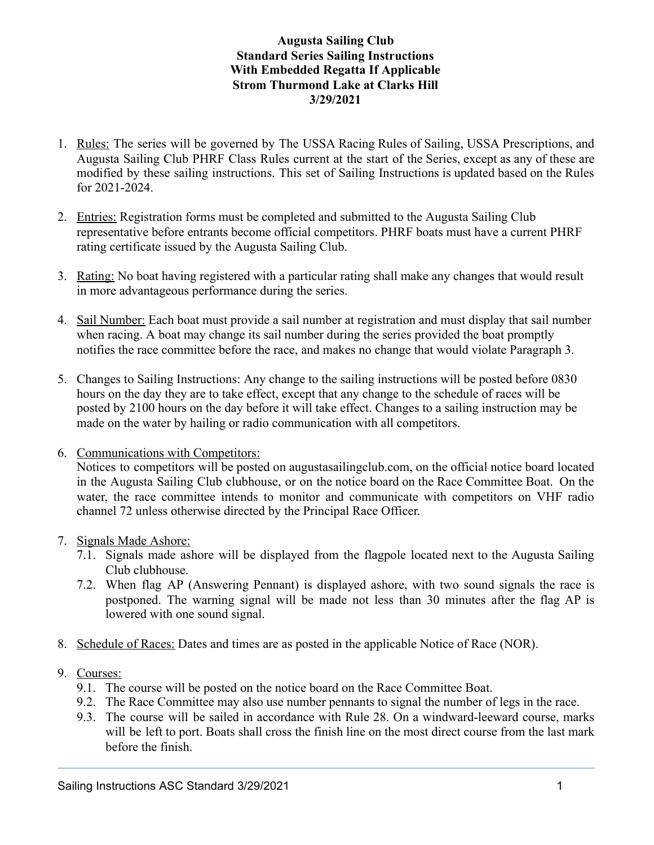## **Augusta Sailing Club Standard Series Sailing Instructions With Embedded Regatta If Applicable Strom Thurmond Lake at Clarks Hill 3/29/2021**

- 1. Rules: The series will be governed by The USSA Racing Rules of Sailing, USSA Prescriptions, and Augusta Sailing Club PHRF Class Rules current at the start of the Series, except as any of these are modified by these sailing instructions. This set of Sailing Instructions is updated based on the Rules for 2021-2024.
- 2. Entries: Registration forms must be completed and submitted to the Augusta Sailing Club representative before entrants become official competitors. PHRF boats must have a current PHRF rating certificate issued by the Augusta Sailing Club.
- 3. Rating: No boat having registered with a particular rating shall make any changes that would result in more advantageous performance during the series.
- 4. Sail Number: Each boat must provide a sail number at registration and must display that sail number when racing. A boat may change its sail number during the series provided the boat promptly notifies the race committee before the race, and makes no change that would violate Paragraph 3.
- 5. Changes to Sailing Instructions: Any change to the sailing instructions will be posted before 0830 hours on the day they are to take effect, except that any change to the schedule of races will be posted by 2100 hours on the day before it will take effect. Changes to a sailing instruction may be made on the water by hailing or radio communication with all competitors.
- 6. Communications with Competitors:

Notices to competitors will be posted on augustasailingclub.com, on the official notice board located in the Augusta Sailing Club clubhouse, or on the notice board on the Race Committee Boat. On the water, the race committee intends to monitor and communicate with competitors on VHF radio channel 72 unless otherwise directed by the Principal Race Officer.

- 7. Signals Made Ashore:
	- 7.1. Signals made ashore will be displayed from the flagpole located next to the Augusta Sailing Club clubhouse.
	- 7.2. When flag AP (Answering Pennant) is displayed ashore, with two sound signals the race is postponed. The warning signal will be made not less than 30 minutes after the flag AP is lowered with one sound signal.
- 8. Schedule of Races: Dates and times are as posted in the applicable Notice of Race (NOR).
- 9. Courses:
	- 9.1. The course will be posted on the notice board on the Race Committee Boat.
	- 9.2. The Race Committee may also use number pennants to signal the number of legs in the race.
	- 9.3. The course will be sailed in accordance with Rule 28. On a windward-leeward course, marks will be left to port. Boats shall cross the finish line on the most direct course from the last mark before the finish.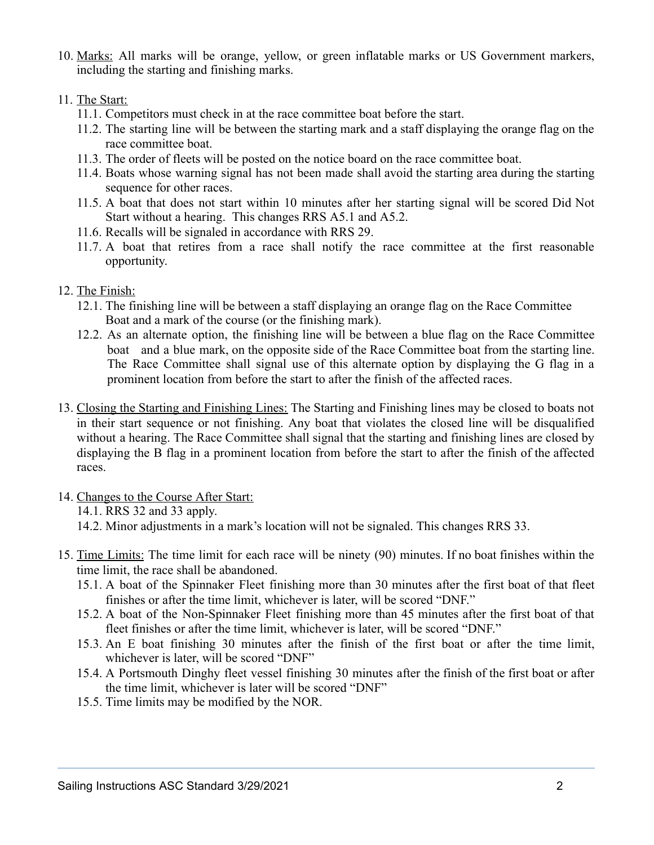10. Marks: All marks will be orange, yellow, or green inflatable marks or US Government markers, including the starting and finishing marks.

## 11. The Start:

- 11.1. Competitors must check in at the race committee boat before the start.
- 11.2. The starting line will be between the starting mark and a staff displaying the orange flag on the race committee boat.
- 11.3. The order of fleets will be posted on the notice board on the race committee boat.
- 11.4. Boats whose warning signal has not been made shall avoid the starting area during the starting sequence for other races.
- 11.5. A boat that does not start within 10 minutes after her starting signal will be scored Did Not Start without a hearing. This changes RRS A5.1 and A5.2.
- 11.6. Recalls will be signaled in accordance with RRS 29.
- 11.7. A boat that retires from a race shall notify the race committee at the first reasonable opportunity.

## 12. The Finish:

- 12.1. The finishing line will be between a staff displaying an orange flag on the Race Committee Boat and a mark of the course (or the finishing mark).
- 12.2. As an alternate option, the finishing line will be between a blue flag on the Race Committee boat and a blue mark, on the opposite side of the Race Committee boat from the starting line. The Race Committee shall signal use of this alternate option by displaying the G flag in a prominent location from before the start to after the finish of the affected races.
- 13. Closing the Starting and Finishing Lines: The Starting and Finishing lines may be closed to boats not in their start sequence or not finishing. Any boat that violates the closed line will be disqualified without a hearing. The Race Committee shall signal that the starting and finishing lines are closed by displaying the B flag in a prominent location from before the start to after the finish of the affected races.
- 14. Changes to the Course After Start:
	- 14.1. RRS 32 and 33 apply.
	- 14.2. Minor adjustments in a mark's location will not be signaled. This changes RRS 33.
- 15. Time Limits: The time limit for each race will be ninety (90) minutes. If no boat finishes within the time limit, the race shall be abandoned.
	- 15.1. A boat of the Spinnaker Fleet finishing more than 30 minutes after the first boat of that fleet finishes or after the time limit, whichever is later, will be scored "DNF."
	- 15.2. A boat of the Non-Spinnaker Fleet finishing more than 45 minutes after the first boat of that fleet finishes or after the time limit, whichever is later, will be scored "DNF."
	- 15.3. An E boat finishing 30 minutes after the finish of the first boat or after the time limit, whichever is later, will be scored "DNF"
	- 15.4. A Portsmouth Dinghy fleet vessel finishing 30 minutes after the finish of the first boat or after the time limit, whichever is later will be scored "DNF"
	- 15.5. Time limits may be modified by the NOR.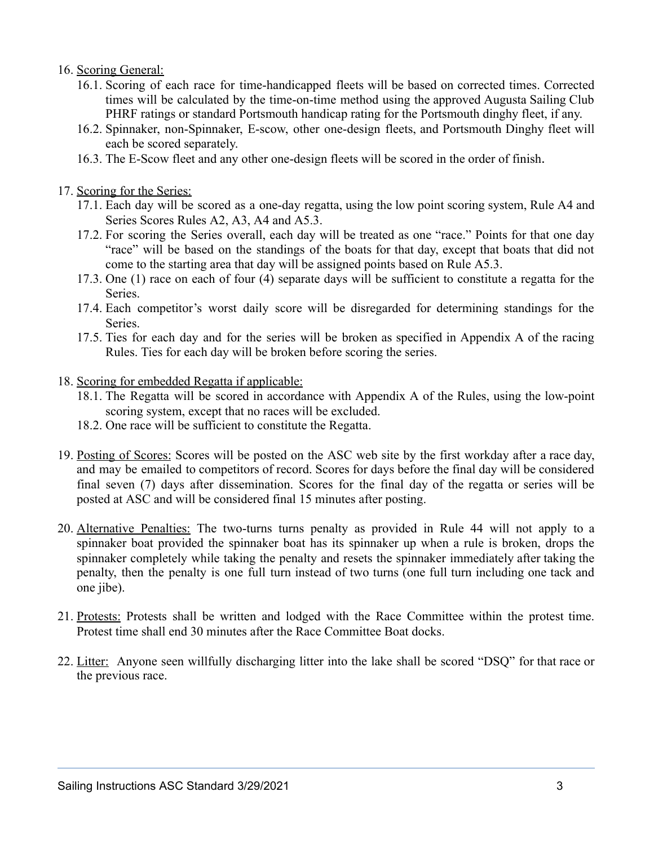## 16. Scoring General:

- 16.1. Scoring of each race for time-handicapped fleets will be based on corrected times. Corrected times will be calculated by the time-on-time method using the approved Augusta Sailing Club PHRF ratings or standard Portsmouth handicap rating for the Portsmouth dinghy fleet, if any.
- 16.2. Spinnaker, non-Spinnaker, E-scow, other one-design fleets, and Portsmouth Dinghy fleet will each be scored separately.
- 16.3. The E-Scow fleet and any other one-design fleets will be scored in the order of finish .
- 17. Scoring for the Series:
	- 17.1. Each day will be scored as a one-day regatta, using the low point scoring system, Rule A4 and Series Scores Rules A2, A3, A4 and A5.3.
	- 17.2. For scoring the Series overall, each day will be treated as one "race." Points for that one day "race" will be based on the standings of the boats for that day, except that boats that did not come to the starting area that day will be assigned points based on Rule A5.3.
	- 17.3. One (1) race on each of four (4) separate days will be sufficient to constitute a regatta for the **Series**.
	- 17.4. Each competitor's worst daily score will be disregarded for determining standings for the Series.
	- 17.5. Ties for each day and for the series will be broken as specified in Appendix A of the racing Rules. Ties for each day will be broken before scoring the series.
- 18. Scoring for embedded Regatta if applicable:
	- 18.1. The Regatta will be scored in accordance with Appendix A of the Rules, using the low-point scoring system, except that no races will be excluded.
	- 18.2. One race will be sufficient to constitute the Regatta.
- 19. Posting of Scores: Scores will be posted on the ASC web site by the first workday after a race day, and may be emailed to competitors of record. Scores for days before the final day will be considered final seven (7) days after dissemination. Scores for the final day of the regatta or series will be posted at ASC and will be considered final 15 minutes after posting.
- 20. Alternative Penalties: The two-turns turns penalty as provided in Rule 44 will not apply to a spinnaker boat provided the spinnaker boat has its spinnaker up when a rule is broken, drops the spinnaker completely while taking the penalty and resets the spinnaker immediately after taking the penalty, then the penalty is one full turn instead of two turns (one full turn including one tack and one jibe).
- 21. Protests: Protests shall be written and lodged with the Race Committee within the protest time. Protest time shall end 30 minutes after the Race Committee Boat docks.
- 22. Litter: Anyone seen willfully discharging litter into the lake shall be scored "DSQ" for that race or the previous race.